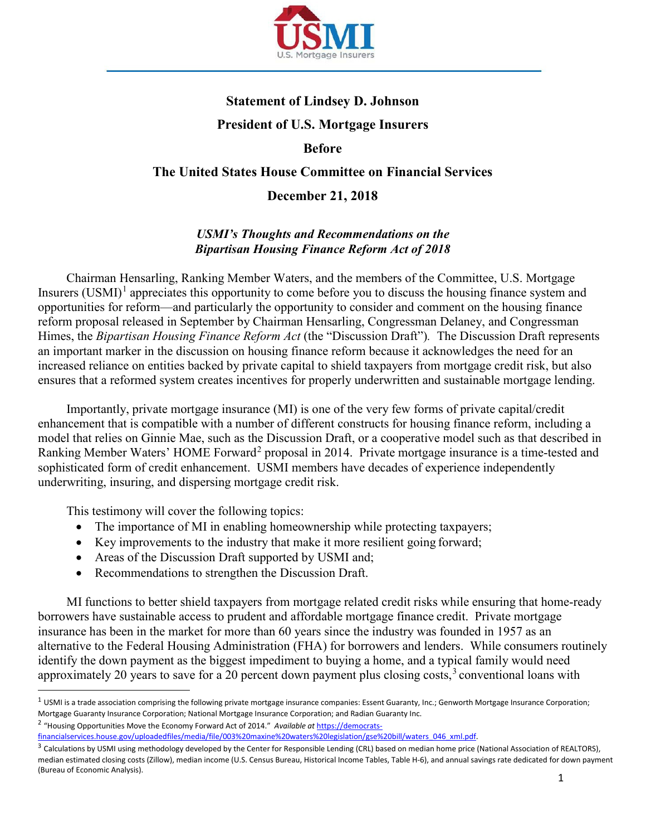

# **Statement of Lindsey D. Johnson President of U.S. Mortgage Insurers Before**

#### **The United States House Committee on Financial Services**

**December 21, 2018**

# *USMI's Thoughts and Recommendations on the Bipartisan Housing Finance Reform Act of 2018*

Chairman Hensarling, Ranking Member Waters, and the members of the Committee, U.S. Mortgage Insurers (USMI)<sup>[1](#page-0-0)</sup> appreciates this opportunity to come before you to discuss the housing finance system and opportunities for reform—and particularly the opportunity to consider and comment on the housing finance reform proposal released in September by Chairman Hensarling, Congressman Delaney, and Congressman Himes, the *Bipartisan Housing Finance Reform Act* (the "Discussion Draft")*.* The Discussion Draft represents an important marker in the discussion on housing finance reform because it acknowledges the need for an increased reliance on entities backed by private capital to shield taxpayers from mortgage credit risk, but also ensures that a reformed system creates incentives for properly underwritten and sustainable mortgage lending.

Importantly, private mortgage insurance (MI) is one of the very few forms of private capital/credit enhancement that is compatible with a number of different constructs for housing finance reform, including a model that relies on Ginnie Mae, such as the Discussion Draft, or a cooperative model such as that described in Ranking Member Waters' HOME Forward<sup>[2](#page-0-1)</sup> proposal in 2014. Private mortgage insurance is a time-tested and sophisticated form of credit enhancement. USMI members have decades of experience independently underwriting, insuring, and dispersing mortgage credit risk.

This testimony will cover the following topics:

- The importance of MI in enabling homeownership while protecting taxpayers;
- Key improvements to the industry that make it more resilient going forward;
- Areas of the Discussion Draft supported by USMI and;
- Recommendations to strengthen the Discussion Draft.

MI functions to better shield taxpayers from mortgage related credit risks while ensuring that home-ready borrowers have sustainable access to prudent and affordable mortgage finance credit. Private mortgage insurance has been in the market for more than 60 years since the industry was founded in 1957 as an alternative to the Federal Housing Administration (FHA) for borrowers and lenders. While consumers routinely identify the down payment as the biggest impediment to buying a home, and a typical family would need approximately 20 years to save for a 20 percent down payment plus closing costs,  $3$  conventional loans with

<span id="page-0-0"></span> $1$  USMI is a trade association comprising the following private mortgage insurance companies: Essent Guaranty, Inc.; Genworth Mortgage Insurance Corporation; Mortgage Guaranty Insurance Corporation; National Mortgage Insurance Corporation; and Radian Guaranty Inc.

<span id="page-0-1"></span><sup>2</sup> "Housing Opportunities Move the Economy Forward Act of 2014." *Available at* [https://democrats-](https://democrats-financialservices.house.gov/uploadedfiles/media/file/003%20maxine%20waters%20legislation/gse%20bill/waters_046_xml.pdf)

[financialservices.house.gov/uploadedfiles/media/file/003%20maxine%20waters%20legislation/gse%20bill/waters\\_046\\_xml.pdf.](https://democrats-financialservices.house.gov/uploadedfiles/media/file/003%20maxine%20waters%20legislation/gse%20bill/waters_046_xml.pdf)

<span id="page-0-2"></span><sup>&</sup>lt;sup>3</sup> Calculations by USMI using methodology developed by the Center for Responsible Lending (CRL) based on median home price (National Association of REALTORS), median estimated closing costs (Zillow), median income (U.S. Census Bureau, Historical Income Tables, Table H-6), and annual savings rate dedicated for down payment (Bureau of Economic Analysis).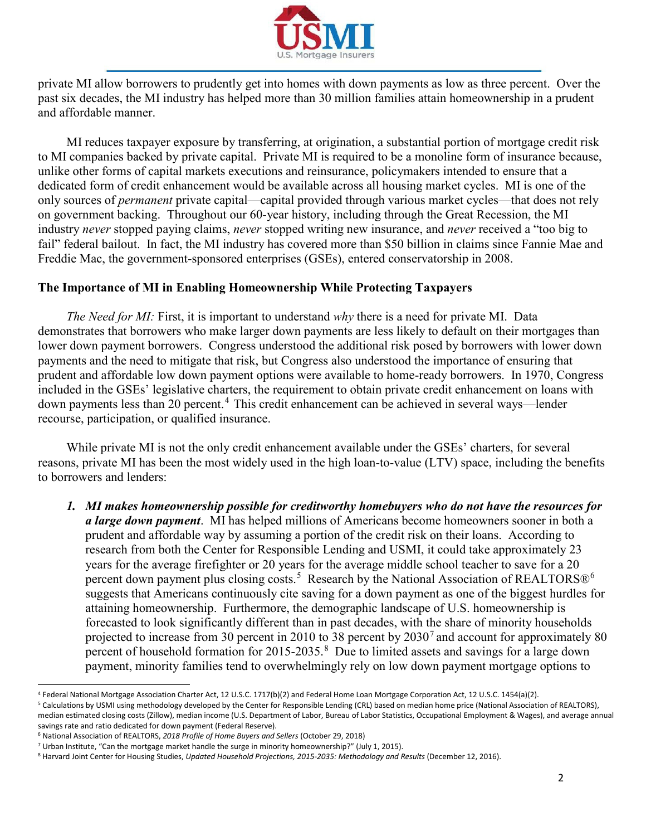

private MI allow borrowers to prudently get into homes with down payments as low as three percent. Over the past six decades, the MI industry has helped more than 30 million families attain homeownership in a prudent and affordable manner.

MI reduces taxpayer exposure by transferring, at origination, a substantial portion of mortgage credit risk to MI companies backed by private capital. Private MI is required to be a monoline form of insurance because, unlike other forms of capital markets executions and reinsurance, policymakers intended to ensure that a dedicated form of credit enhancement would be available across all housing market cycles. MI is one of the only sources of *permanent* private capital—capital provided through various market cycles—that does not rely on government backing. Throughout our 60-year history, including through the Great Recession, the MI industry *never* stopped paying claims, *never* stopped writing new insurance, and *never* received a "too big to fail" federal bailout. In fact, the MI industry has covered more than \$50 billion in claims since Fannie Mae and Freddie Mac, the government-sponsored enterprises (GSEs), entered conservatorship in 2008.

#### **The Importance of MI in Enabling Homeownership While Protecting Taxpayers**

*The Need for MI:* First, it is important to understand *why* there is a need for private MI. Data demonstrates that borrowers who make larger down payments are less likely to default on their mortgages than lower down payment borrowers. Congress understood the additional risk posed by borrowers with lower down payments and the need to mitigate that risk, but Congress also understood the importance of ensuring that prudent and affordable low down payment options were available to home-ready borrowers. In 1970, Congress included in the GSEs' legislative charters, the requirement to obtain private credit enhancement on loans with down payments less than 20 percent.<sup>[4](#page-1-0)</sup> This credit enhancement can be achieved in several ways—lender recourse, participation, or qualified insurance.

While private MI is not the only credit enhancement available under the GSEs' charters, for several reasons, private MI has been the most widely used in the high loan-to-value (LTV) space, including the benefits to borrowers and lenders:

*1. MI makes homeownership possible for creditworthy homebuyers who do not have the resources for a large down payment*. MI has helped millions of Americans become homeowners sooner in both a prudent and affordable way by assuming a portion of the credit risk on their loans. According to research from both the Center for Responsible Lending and USMI, it could take approximately 23 years for the average firefighter or 20 years for the average middle school teacher to save for a 20 percent down payment plus closing costs.<sup>[5](#page-1-1)</sup> Research by the National Association of REALTORS®<sup>[6](#page-1-2)</sup> suggests that Americans continuously cite saving for a down payment as one of the biggest hurdles for attaining homeownership. Furthermore, the demographic landscape of U.S. homeownership is forecasted to look significantly different than in past decades, with the share of minority households projected to increase from 30 percent in 2010 to 38 percent by  $2030<sup>7</sup>$  $2030<sup>7</sup>$  $2030<sup>7</sup>$  and account for approximately 80 percent of household formation for 2015-2035.<sup>[8](#page-1-4)</sup> Due to limited assets and savings for a large down payment, minority families tend to overwhelmingly rely on low down payment mortgage options to

 $\overline{a}$ <sup>4</sup> Federal National Mortgage Association Charter Act, 12 U.S.C. 1717(b)(2) and Federal Home Loan Mortgage Corporation Act, 12 U.S.C. 1454(a)(2).

<span id="page-1-1"></span><span id="page-1-0"></span><sup>5</sup> Calculations by USMI using methodology developed by the Center for Responsible Lending (CRL) based on median home price (National Association of REALTORS), median estimated closing costs (Zillow), median income (U.S. Department of Labor, Bureau of Labor Statistics, Occupational Employment & Wages), and average annual savings rate and ratio dedicated for down payment (Federal Reserve).

<span id="page-1-2"></span><sup>6</sup> National Association of REALTORS, *2018 Profile of Home Buyers and Sellers* (October 29, 2018)

<span id="page-1-3"></span><sup>&</sup>lt;sup>7</sup> Urban Institute, "Can the mortgage market handle the surge in minority homeownership?" (July 1, 2015).

<span id="page-1-4"></span><sup>8</sup> Harvard Joint Center for Housing Studies, *Updated Household Projections, 2015-2035: Methodology and Results* (December 12, 2016).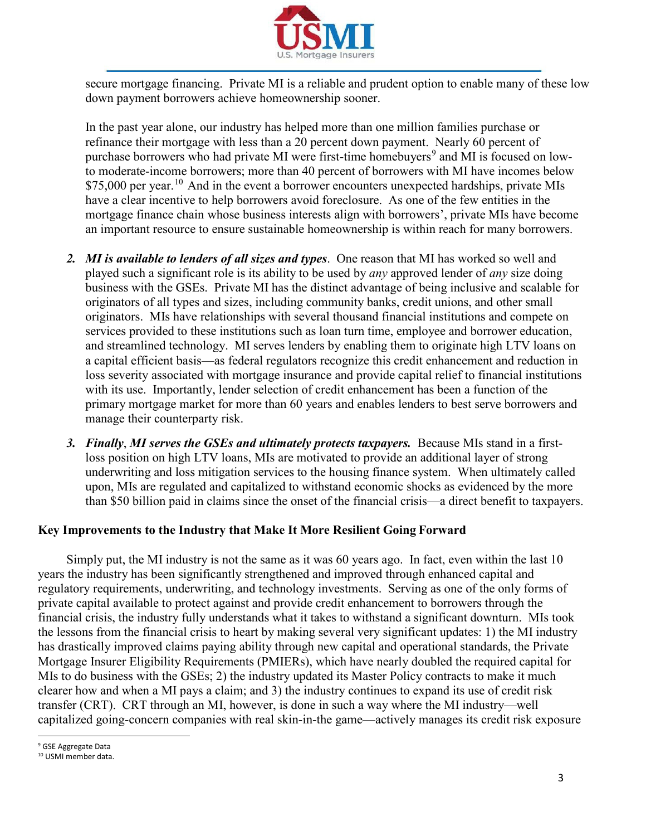

secure mortgage financing. Private MI is a reliable and prudent option to enable many of these low down payment borrowers achieve homeownership sooner.

In the past year alone, our industry has helped more than one million families purchase or refinance their mortgage with less than a 20 percent down payment. Nearly 60 percent of purchase borrowers who had private MI were first-time homebuyers<sup>[9](#page-2-0)</sup> and MI is focused on lowto moderate-income borrowers; more than 40 percent of borrowers with MI have incomes below \$75,000 per year.<sup>[10](#page-2-1)</sup> And in the event a borrower encounters unexpected hardships, private MIs have a clear incentive to help borrowers avoid foreclosure. As one of the few entities in the mortgage finance chain whose business interests align with borrowers', private MIs have become an important resource to ensure sustainable homeownership is within reach for many borrowers.

- *2. MI is available to lenders of all sizes and types*. One reason that MI has worked so well and played such a significant role is its ability to be used by *any* approved lender of *any* size doing business with the GSEs. Private MI has the distinct advantage of being inclusive and scalable for originators of all types and sizes, including community banks, credit unions, and other small originators. MIs have relationships with several thousand financial institutions and compete on services provided to these institutions such as loan turn time, employee and borrower education, and streamlined technology. MI serves lenders by enabling them to originate high LTV loans on a capital efficient basis—as federal regulators recognize this credit enhancement and reduction in loss severity associated with mortgage insurance and provide capital relief to financial institutions with its use. Importantly, lender selection of credit enhancement has been a function of the primary mortgage market for more than 60 years and enables lenders to best serve borrowers and manage their counterparty risk.
- *3. Finally*, *MI serves the GSEs and ultimately protects taxpayers.* Because MIs stand in a firstloss position on high LTV loans, MIs are motivated to provide an additional layer of strong underwriting and loss mitigation services to the housing finance system. When ultimately called upon, MIs are regulated and capitalized to withstand economic shocks as evidenced by the more than \$50 billion paid in claims since the onset of the financial crisis—a direct benefit to taxpayers.

#### **Key Improvements to the Industry that Make It More Resilient Going Forward**

Simply put, the MI industry is not the same as it was 60 years ago. In fact, even within the last 10 years the industry has been significantly strengthened and improved through enhanced capital and regulatory requirements, underwriting, and technology investments. Serving as one of the only forms of private capital available to protect against and provide credit enhancement to borrowers through the financial crisis, the industry fully understands what it takes to withstand a significant downturn. MIs took the lessons from the financial crisis to heart by making several very significant updates: 1) the MI industry has drastically improved claims paying ability through new capital and operational standards, the Private Mortgage Insurer Eligibility Requirements (PMIERs), which have nearly doubled the required capital for MIs to do business with the GSEs; 2) the industry updated its Master Policy contracts to make it much clearer how and when a MI pays a claim; and 3) the industry continues to expand its use of credit risk transfer (CRT). CRT through an MI, however, is done in such a way where the MI industry—well capitalized going-concern companies with real skin-in-the game—actively manages its credit risk exposure

<span id="page-2-0"></span> $\overline{a}$ <sup>9</sup> GSE Aggregate Data

<span id="page-2-1"></span><sup>10</sup> USMI member data.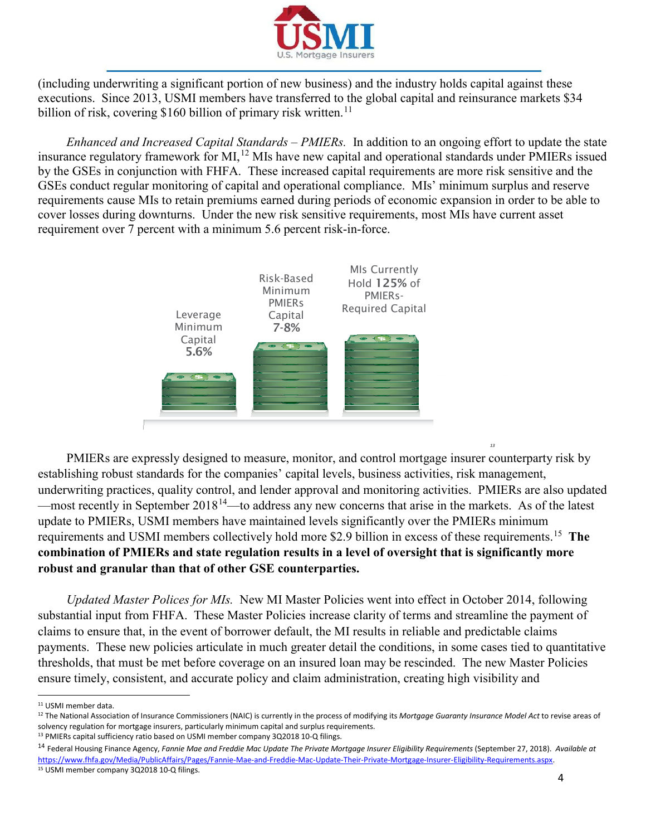

(including underwriting a significant portion of new business) and the industry holds capital against these executions. Since 2013, USMI members have transferred to the global capital and reinsurance markets \$34 billion of risk, covering \$160 billion of primary risk written.<sup>[11](#page-3-0)</sup>

*Enhanced and Increased Capital Standards – PMIERs.* In addition to an ongoing effort to update the state insurance regulatory framework for MI,<sup>[12](#page-3-1)</sup> MIs have new capital and operational standards under PMIERs issued by the GSEs in conjunction with FHFA. These increased capital requirements are more risk sensitive and the GSEs conduct regular monitoring of capital and operational compliance. MIs' minimum surplus and reserve requirements cause MIs to retain premiums earned during periods of economic expansion in order to be able to cover losses during downturns. Under the new risk sensitive requirements, most MIs have current asset requirement over 7 percent with a minimum 5.6 percent risk-in-force.



PMIERs are expressly designed to measure, monitor, and control mortgage insurer counterparty risk by establishing robust standards for the companies' capital levels, business activities, risk management, underwriting practices, quality control, and lender approval and monitoring activities. PMIERs are also updated —most recently in September  $2018^{14}$  $2018^{14}$  $2018^{14}$ —to address any new concerns that arise in the markets. As of the latest update to PMIERs, USMI members have maintained levels significantly over the PMIERs minimum requirements and USMI members collectively hold more \$2.9 billion in excess of these requirements.[15](#page-3-4) **The combination of PMIERs and state regulation results in a level of oversight that is significantly more robust and granular than that of other GSE counterparties.**

*Updated Master Polices for MIs.* New MI Master Policies went into effect in October 2014, following substantial input from FHFA. These Master Policies increase clarity of terms and streamline the payment of claims to ensure that, in the event of borrower default, the MI results in reliable and predictable claims payments. These new policies articulate in much greater detail the conditions, in some cases tied to quantitative thresholds, that must be met before coverage on an insured loan may be rescinded. The new Master Policies ensure timely, consistent, and accurate policy and claim administration, creating high visibility and

 $\overline{a}$ 

*[13](#page-3-2)*

<span id="page-3-0"></span><sup>11</sup> USMI member data.

<span id="page-3-1"></span><sup>12</sup> The National Association of Insurance Commissioners (NAIC) is currently in the process of modifying its *Mortgage Guaranty Insurance Model Act* to revise areas of solvency regulation for mortgage insurers, particularly minimum capital and surplus requirements.

<span id="page-3-2"></span><sup>&</sup>lt;sup>13</sup> PMIERs capital sufficiency ratio based on USMI member company 3Q2018 10-Q filings.

<span id="page-3-3"></span><sup>14</sup> Federal Housing Finance Agency, *Fannie Mae and Freddie Mac Update The Private Mortgage Insurer Eligibility Requirements* (September 27, 2018). *Available at* [https://www.fhfa.gov/Media/PublicAffairs/Pages/Fannie-Mae-and-Freddie-Mac-Update-Their-Private-Mortgage-Insurer-Eligibility-Requirements.aspx.](https://www.fhfa.gov/Media/PublicAffairs/Pages/Fannie-Mae-and-Freddie-Mac-Update-Their-Private-Mortgage-Insurer-Eligibility-Requirements.aspx)

<span id="page-3-4"></span><sup>15</sup> USMI member company 3Q2018 10-Q filings.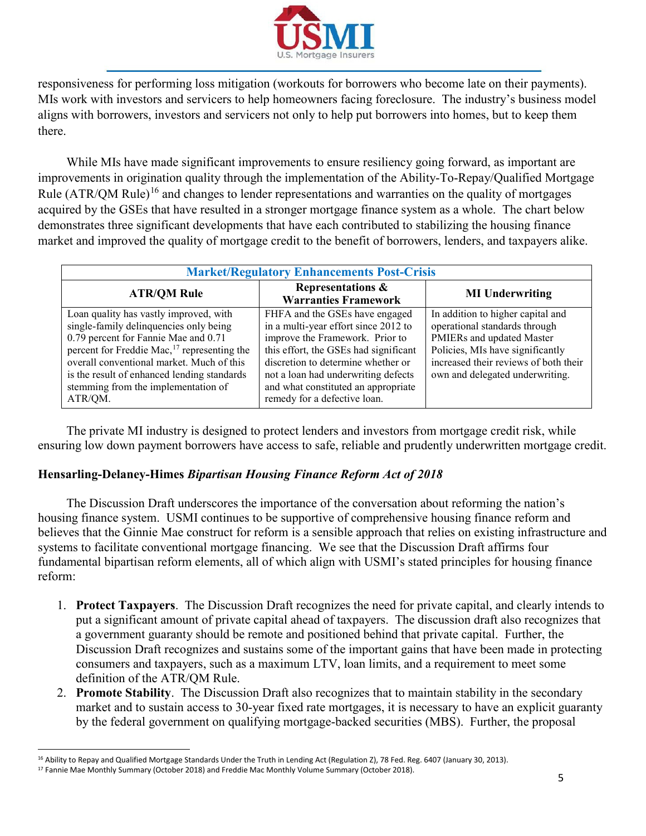

responsiveness for performing loss mitigation (workouts for borrowers who become late on their payments). MIs work with investors and servicers to help homeowners facing foreclosure. The industry's business model aligns with borrowers, investors and servicers not only to help put borrowers into homes, but to keep them there.

While MIs have made significant improvements to ensure resiliency going forward, as important are improvements in origination quality through the implementation of the Ability-To-Repay/Qualified Mortgage Rule  $(ATR/QM Rule)^{16}$  $(ATR/QM Rule)^{16}$  $(ATR/QM Rule)^{16}$  and changes to lender representations and warranties on the quality of mortgages acquired by the GSEs that have resulted in a stronger mortgage finance system as a whole. The chart below demonstrates three significant developments that have each contributed to stabilizing the housing finance market and improved the quality of mortgage credit to the benefit of borrowers, lenders, and taxpayers alike.

| <b>Market/Regulatory Enhancements Post-Crisis</b>                                                                                                                                                                                                                                                                                 |                                                                                                                                                                                                                                                                                                        |                                                                                                                                                                                                                 |
|-----------------------------------------------------------------------------------------------------------------------------------------------------------------------------------------------------------------------------------------------------------------------------------------------------------------------------------|--------------------------------------------------------------------------------------------------------------------------------------------------------------------------------------------------------------------------------------------------------------------------------------------------------|-----------------------------------------------------------------------------------------------------------------------------------------------------------------------------------------------------------------|
| <b>ATR/QM Rule</b>                                                                                                                                                                                                                                                                                                                | Representations &<br><b>Warranties Framework</b>                                                                                                                                                                                                                                                       | <b>MI Underwriting</b>                                                                                                                                                                                          |
| Loan quality has vastly improved, with<br>single-family delinquencies only being<br>0.79 percent for Fannie Mae and 0.71<br>percent for Freddie Mac, <sup>17</sup> representing the<br>overall conventional market. Much of this<br>is the result of enhanced lending standards<br>stemming from the implementation of<br>ATR/QM. | FHFA and the GSEs have engaged<br>in a multi-year effort since 2012 to<br>improve the Framework. Prior to<br>this effort, the GSEs had significant<br>discretion to determine whether or<br>not a loan had underwriting defects<br>and what constituted an appropriate<br>remedy for a defective loan. | In addition to higher capital and<br>operational standards through<br>PMIERs and updated Master<br>Policies, MIs have significantly<br>increased their reviews of both their<br>own and delegated underwriting. |

The private MI industry is designed to protect lenders and investors from mortgage credit risk, while ensuring low down payment borrowers have access to safe, reliable and prudently underwritten mortgage credit.

### **Hensarling-Delaney-Himes** *Bipartisan Housing Finance Reform Act of 2018*

The Discussion Draft underscores the importance of the conversation about reforming the nation's housing finance system. USMI continues to be supportive of comprehensive housing finance reform and believes that the Ginnie Mae construct for reform is a sensible approach that relies on existing infrastructure and systems to facilitate conventional mortgage financing. We see that the Discussion Draft affirms four fundamental bipartisan reform elements, all of which align with USMI's stated principles for housing finance reform:

- 1. **Protect Taxpayers**. The Discussion Draft recognizes the need for private capital, and clearly intends to put a significant amount of private capital ahead of taxpayers. The discussion draft also recognizes that a government guaranty should be remote and positioned behind that private capital. Further, the Discussion Draft recognizes and sustains some of the important gains that have been made in protecting consumers and taxpayers, such as a maximum LTV, loan limits, and a requirement to meet some definition of the ATR/QM Rule.
- 2. **Promote Stability**. The Discussion Draft also recognizes that to maintain stability in the secondary market and to sustain access to 30-year fixed rate mortgages, it is necessary to have an explicit guaranty by the federal government on qualifying mortgage-backed securities (MBS). Further, the proposal

 $\overline{a}$ <sup>16</sup> Ability to Repay and Qualified Mortgage Standards Under the Truth in Lending Act (Regulation Z), 78 Fed. Reg. 6407 (January 30, 2013).

<span id="page-4-1"></span><span id="page-4-0"></span><sup>17</sup> Fannie Mae Monthly Summary (October 2018) and Freddie Mac Monthly Volume Summary (October 2018).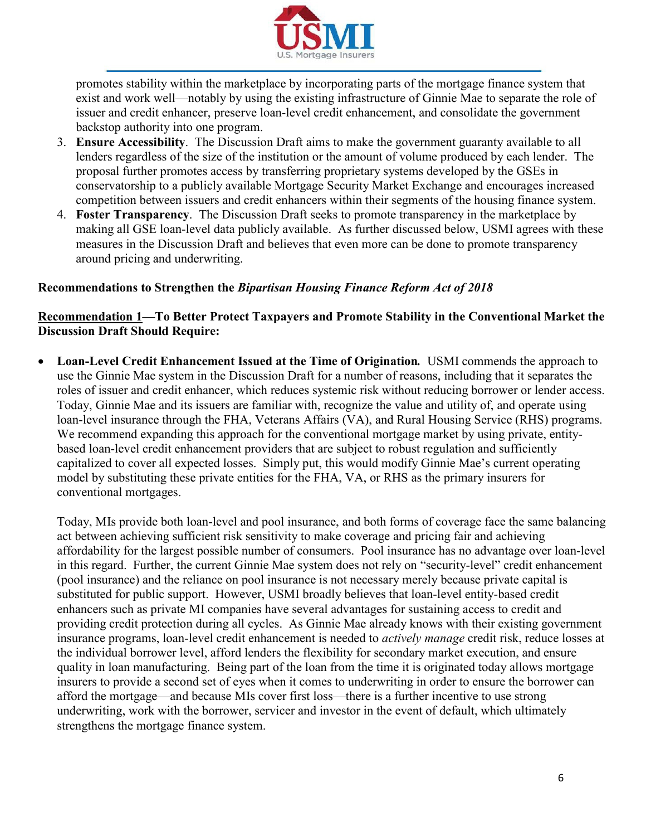

promotes stability within the marketplace by incorporating parts of the mortgage finance system that exist and work well—notably by using the existing infrastructure of Ginnie Mae to separate the role of issuer and credit enhancer, preserve loan-level credit enhancement, and consolidate the government backstop authority into one program.

- 3. **Ensure Accessibility**. The Discussion Draft aims to make the government guaranty available to all lenders regardless of the size of the institution or the amount of volume produced by each lender. The proposal further promotes access by transferring proprietary systems developed by the GSEs in conservatorship to a publicly available Mortgage Security Market Exchange and encourages increased competition between issuers and credit enhancers within their segments of the housing finance system.
- 4. **Foster Transparency**. The Discussion Draft seeks to promote transparency in the marketplace by making all GSE loan-level data publicly available. As further discussed below, USMI agrees with these measures in the Discussion Draft and believes that even more can be done to promote transparency around pricing and underwriting.

### **Recommendations to Strengthen the** *Bipartisan Housing Finance Reform Act of 2018*

# **Recommendation 1—To Better Protect Taxpayers and Promote Stability in the Conventional Market the Discussion Draft Should Require:**

• **Loan-Level Credit Enhancement Issued at the Time of Origination***.* USMI commends the approach to use the Ginnie Mae system in the Discussion Draft for a number of reasons, including that it separates the roles of issuer and credit enhancer, which reduces systemic risk without reducing borrower or lender access. Today, Ginnie Mae and its issuers are familiar with, recognize the value and utility of, and operate using loan-level insurance through the FHA, Veterans Affairs (VA), and Rural Housing Service (RHS) programs. We recommend expanding this approach for the conventional mortgage market by using private, entitybased loan-level credit enhancement providers that are subject to robust regulation and sufficiently capitalized to cover all expected losses. Simply put, this would modify Ginnie Mae's current operating model by substituting these private entities for the FHA, VA, or RHS as the primary insurers for conventional mortgages.

Today, MIs provide both loan-level and pool insurance, and both forms of coverage face the same balancing act between achieving sufficient risk sensitivity to make coverage and pricing fair and achieving affordability for the largest possible number of consumers. Pool insurance has no advantage over loan-level in this regard. Further, the current Ginnie Mae system does not rely on "security-level" credit enhancement (pool insurance) and the reliance on pool insurance is not necessary merely because private capital is substituted for public support. However, USMI broadly believes that loan-level entity-based credit enhancers such as private MI companies have several advantages for sustaining access to credit and providing credit protection during all cycles. As Ginnie Mae already knows with their existing government insurance programs, loan-level credit enhancement is needed to *actively manage* credit risk, reduce losses at the individual borrower level, afford lenders the flexibility for secondary market execution, and ensure quality in loan manufacturing. Being part of the loan from the time it is originated today allows mortgage insurers to provide a second set of eyes when it comes to underwriting in order to ensure the borrower can afford the mortgage—and because MIs cover first loss—there is a further incentive to use strong underwriting, work with the borrower, servicer and investor in the event of default, which ultimately strengthens the mortgage finance system.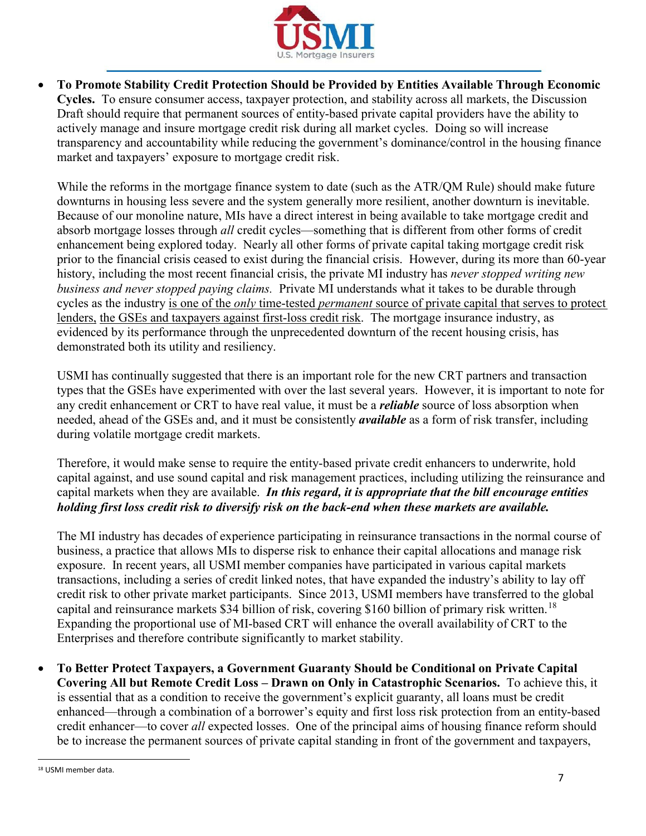

• **To Promote Stability Credit Protection Should be Provided by Entities Available Through Economic Cycles.** To ensure consumer access, taxpayer protection, and stability across all markets, the Discussion Draft should require that permanent sources of entity-based private capital providers have the ability to actively manage and insure mortgage credit risk during all market cycles. Doing so will increase transparency and accountability while reducing the government's dominance/control in the housing finance market and taxpayers' exposure to mortgage credit risk.

While the reforms in the mortgage finance system to date (such as the ATR/QM Rule) should make future downturns in housing less severe and the system generally more resilient, another downturn is inevitable. Because of our monoline nature, MIs have a direct interest in being available to take mortgage credit and absorb mortgage losses through *all* credit cycles—something that is different from other forms of credit enhancement being explored today. Nearly all other forms of private capital taking mortgage credit risk prior to the financial crisis ceased to exist during the financial crisis. However, during its more than 60-year history, including the most recent financial crisis, the private MI industry has *never stopped writing new business and never stopped paying claims.* Private MI understands what it takes to be durable through cycles as the industry is one of the *only* time-tested *permanent* source of private capital that serves to protect lenders, the GSEs and taxpayers against first-loss credit risk. The mortgage insurance industry, as evidenced by its performance through the unprecedented downturn of the recent housing crisis, has demonstrated both its utility and resiliency.

USMI has continually suggested that there is an important role for the new CRT partners and transaction types that the GSEs have experimented with over the last several years. However, it is important to note for any credit enhancement or CRT to have real value, it must be a *reliable* source of loss absorption when needed, ahead of the GSEs and, and it must be consistently *available* as a form of risk transfer, including during volatile mortgage credit markets.

Therefore, it would make sense to require the entity-based private credit enhancers to underwrite, hold capital against, and use sound capital and risk management practices, including utilizing the reinsurance and capital markets when they are available. *In this regard, it is appropriate that the bill encourage entities holding first loss credit risk to diversify risk on the back-end when these markets are available.*

The MI industry has decades of experience participating in reinsurance transactions in the normal course of business, a practice that allows MIs to disperse risk to enhance their capital allocations and manage risk exposure. In recent years, all USMI member companies have participated in various capital markets transactions, including a series of credit linked notes, that have expanded the industry's ability to lay off credit risk to other private market participants. Since 2013, USMI members have transferred to the global capital and reinsurance markets \$34 billion of risk, covering \$160 billion of primary risk written.<sup>18</sup> Expanding the proportional use of MI-based CRT will enhance the overall availability of CRT to the Enterprises and therefore contribute significantly to market stability.

• **To Better Protect Taxpayers, a Government Guaranty Should be Conditional on Private Capital Covering All but Remote Credit Loss – Drawn on Only in Catastrophic Scenarios.** To achieve this, it is essential that as a condition to receive the government's explicit guaranty, all loans must be credit enhanced—through a combination of a borrower's equity and first loss risk protection from an entity-based credit enhancer—to cover *all* expected losses. One of the principal aims of housing finance reform should be to increase the permanent sources of private capital standing in front of the government and taxpayers,

<span id="page-6-0"></span><sup>18</sup> USMI member data.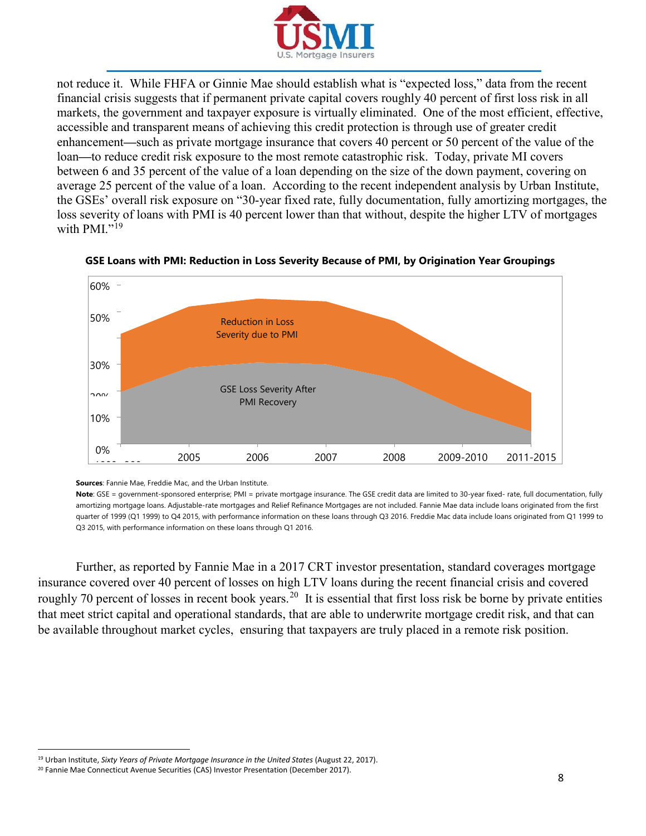

not reduce it. While FHFA or Ginnie Mae should establish what is "expected loss," data from the recent financial crisis suggests that if permanent private capital covers roughly 40 percent of first loss risk in all markets, the government and taxpayer exposure is virtually eliminated. One of the most efficient, effective, accessible and transparent means of achieving this credit protection is through use of greater credit enhancement**—**such as private mortgage insurance that covers 40 percent or 50 percent of the value of the loan**—**to reduce credit risk exposure to the most remote catastrophic risk. Today, private MI covers between 6 and 35 percent of the value of a loan depending on the size of the down payment, covering on average 25 percent of the value of a loan. According to the recent independent analysis by Urban Institute, the GSEs' overall risk exposure on "30-year fixed rate, fully documentation, fully amortizing mortgages, the loss severity of loans with PMI is 40 percent lower than that without, despite the higher LTV of mortgages with PMI." $^{19}$  $^{19}$  $^{19}$ 



**GSE Loans with PMI: Reduction in Loss Severity Because of PMI, by Origination Year Groupings**

#### **Sources**: Fannie Mae, Freddie Mac, and the Urban Institute.

**Note**: GSE = government-sponsored enterprise; PMI = private mortgage insurance. The GSE credit data are limited to 30-year fixed- rate, full documentation, fully amortizing mortgage loans. Adjustable-rate mortgages and Relief Refinance Mortgages are not included. Fannie Mae data include loans originated from the first quarter of 1999 (Q1 1999) to Q4 2015, with performance information on these loans through Q3 2016. Freddie Mac data include loans originated from Q1 1999 to Q3 2015, with performance information on these loans through Q1 2016.

Further, as reported by Fannie Mae in a 2017 CRT investor presentation, standard coverages mortgage insurance covered over 40 percent of losses on high LTV loans during the recent financial crisis and covered roughly 70 percent of losses in recent book years.<sup>[20](#page-7-1)</sup> It is essential that first loss risk be borne by private entities that meet strict capital and operational standards, that are able to underwrite mortgage credit risk, and that can be available throughout market cycles, ensuring that taxpayers are truly placed in a remote risk position.

<span id="page-7-0"></span><sup>19</sup> Urban Institute, *Sixty Years of Private Mortgage Insurance in the United States* (August 22, 2017).

<span id="page-7-1"></span><sup>&</sup>lt;sup>20</sup> Fannie Mae Connecticut Avenue Securities (CAS) Investor Presentation (December 2017).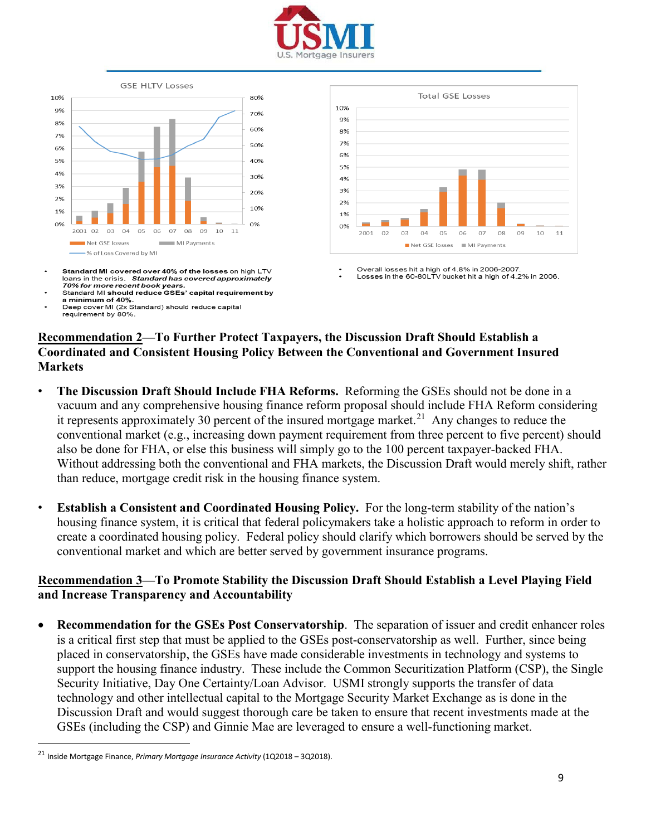



- Standard MI covered over 40% of the losses on high LTV loans in the crisis. Standard has covered approximately 70% for more recent book years Standard MI should reduce GSEs' capital requirement by
- a minimum of 40% Deep cover MI (2x Standard) should reduce capital requirement by 80%



Overall losses hit a high of 4.8% in 2006-2007. Losses in the 60-80LTV bucket hit a high of 4.2% in 2006.

# **Recommendation 2—To Further Protect Taxpayers, the Discussion Draft Should Establish a Coordinated and Consistent Housing Policy Between the Conventional and Government Insured Markets**

- **The Discussion Draft Should Include FHA Reforms.** Reforming the GSEs should not be done in a vacuum and any comprehensive housing finance reform proposal should include FHA Reform considering it represents approximately 30 percent of the insured mortgage market.<sup>[21](#page-8-0)</sup> Any changes to reduce the conventional market (e.g., increasing down payment requirement from three percent to five percent) should also be done for FHA, or else this business will simply go to the 100 percent taxpayer-backed FHA. Without addressing both the conventional and FHA markets, the Discussion Draft would merely shift, rather than reduce, mortgage credit risk in the housing finance system.
- **Establish a Consistent and Coordinated Housing Policy.** For the long-term stability of the nation's housing finance system, it is critical that federal policymakers take a holistic approach to reform in order to create a coordinated housing policy. Federal policy should clarify which borrowers should be served by the conventional market and which are better served by government insurance programs.

# **Recommendation 3—To Promote Stability the Discussion Draft Should Establish a Level Playing Field and Increase Transparency and Accountability**

• **Recommendation for the GSEs Post Conservatorship**. The separation of issuer and credit enhancer roles is a critical first step that must be applied to the GSEs post-conservatorship as well. Further, since being placed in conservatorship, the GSEs have made considerable investments in technology and systems to support the housing finance industry. These include the Common Securitization Platform (CSP), the Single Security Initiative, Day One Certainty/Loan Advisor. USMI strongly supports the transfer of data technology and other intellectual capital to the Mortgage Security Market Exchange as is done in the Discussion Draft and would suggest thorough care be taken to ensure that recent investments made at the GSEs (including the CSP) and Ginnie Mae are leveraged to ensure a well-functioning market.

<span id="page-8-0"></span><sup>21</sup> Inside Mortgage Finance, *Primary Mortgage Insurance Activity* (1Q2018 – 3Q2018).